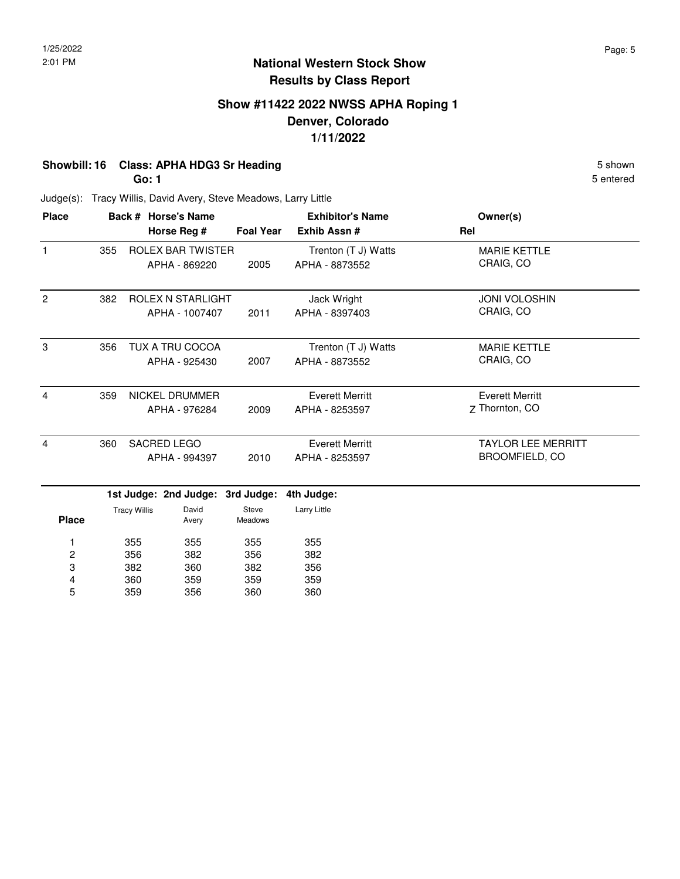### **Show #11422 2022 NWSS APHA Roping 1 Denver, Colorado 1/11/2022**

## **Showbill: 16 Class: APHA HDG3 Sr Heading** 5 Shown

**Go: 1**

360 359

4 5

359 356 359 360 359 360 5 entered

| <b>Place</b>   |     |                     | Back # Horse's Name      |                         | <b>Exhibitor's Name</b> | Owner(s)                  |
|----------------|-----|---------------------|--------------------------|-------------------------|-------------------------|---------------------------|
|                |     |                     | Horse Reg #              | <b>Foal Year</b>        | Exhib Assn #            | Rel                       |
| $\mathbf{1}$   | 355 |                     | <b>ROLEX BAR TWISTER</b> |                         | Trenton (T J) Watts     | <b>MARIE KETTLE</b>       |
|                |     |                     | APHA - 869220            | 2005                    | APHA - 8873552          | CRAIG, CO                 |
| $\overline{2}$ | 382 |                     | <b>ROLEX N STARLIGHT</b> |                         | Jack Wright             | <b>JONI VOLOSHIN</b>      |
|                |     |                     | APHA - 1007407           | 2011                    | APHA - 8397403          | CRAIG, CO                 |
| 3              | 356 |                     | <b>TUX A TRU COCOA</b>   |                         | Trenton (T J) Watts     | <b>MARIE KETTLE</b>       |
|                |     |                     | APHA - 925430            | 2007                    | APHA - 8873552          | CRAIG, CO                 |
| $\overline{4}$ | 359 |                     | NICKEL DRUMMER           |                         | <b>Everett Merritt</b>  | <b>Everett Merritt</b>    |
|                |     |                     | APHA - 976284            | 2009                    | APHA - 8253597          | Z Thornton, CO            |
| $\overline{4}$ | 360 |                     | <b>SACRED LEGO</b>       |                         | <b>Everett Merritt</b>  | <b>TAYLOR LEE MERRITT</b> |
|                |     |                     | APHA - 994397            | 2010                    | APHA - 8253597          | <b>BROOMFIELD, CO</b>     |
|                |     |                     | 1st Judge: 2nd Judge:    | 3rd Judge:              | 4th Judge:              |                           |
| <b>Place</b>   |     | <b>Tracy Willis</b> | David<br>Avery           | Steve<br><b>Meadows</b> | Larry Little            |                           |
| 1              |     | 355                 | 355                      | 355                     | 355                     |                           |
| 2              |     | 356                 | 382                      | 356                     | 382                     |                           |
| 3              |     | 382                 | 360                      | 382                     | 356                     |                           |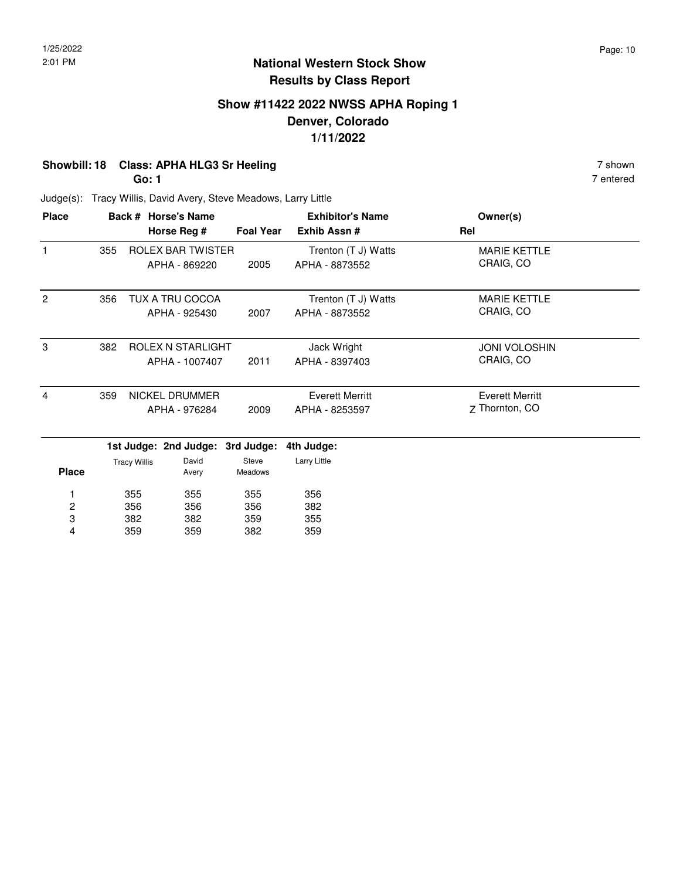### **Show #11422 2022 NWSS APHA Roping 1 Denver, Colorado 1/11/2022**

### **Showbill: 18 Class: APHA HLG3 Sr Heeling** 7 shown

**Go: 1**

7 entered

| <b>Place</b>   |     | Back # Horse's Name      | <b>Exhibitor's Name</b> |                     | Owner(s)               |  |
|----------------|-----|--------------------------|-------------------------|---------------------|------------------------|--|
|                |     | Horse Reg #              | <b>Foal Year</b>        | Exhib Assn#         | Rel                    |  |
| 1              | 355 | <b>ROLEX BAR TWISTER</b> |                         | Trenton (T J) Watts | <b>MARIE KETTLE</b>    |  |
|                |     | APHA - 869220            | 2005                    | APHA - 8873552      | CRAIG, CO              |  |
| $\overline{2}$ | 356 | TUX A TRU COCOA          |                         | Trenton (T J) Watts | <b>MARIE KETTLE</b>    |  |
|                |     | APHA - 925430            | 2007                    | APHA - 8873552      | CRAIG, CO              |  |
| 3              | 382 | ROLEX N STARLIGHT        |                         | Jack Wright         | <b>JONI VOLOSHIN</b>   |  |
|                |     | APHA - 1007407           | 2011                    | APHA - 8397403      | CRAIG, CO              |  |
| 4              | 359 | NICKEL DRUMMER           |                         | Everett Merritt     | <b>Everett Merritt</b> |  |
|                |     | APHA - 976284            | 2009                    | APHA - 8253597      | 7 Thornton, CO         |  |

|              | --                  |                |                         |              |
|--------------|---------------------|----------------|-------------------------|--------------|
| <b>Place</b> | <b>Tracy Willis</b> | David<br>Avery | Steve<br><b>Meadows</b> | Larry Little |
| 1            | 355                 | 355            | 355                     | 356          |
| 2            | 356                 | 356            | 356                     | 382          |
| 3            | 382                 | 382            | 359                     | 355          |
| 4            | 359                 | 359            | 382                     | 359          |
|              |                     |                |                         |              |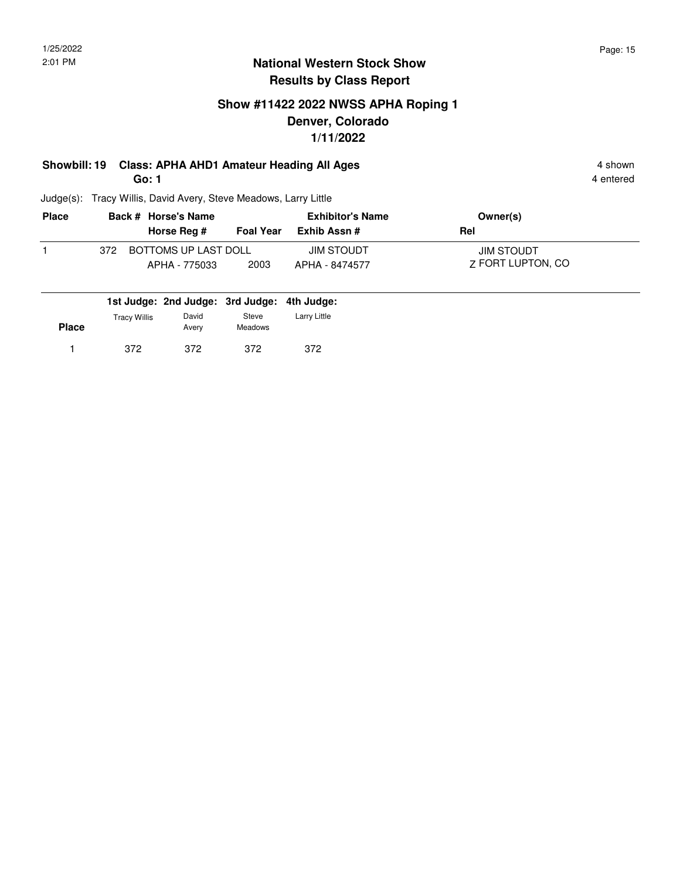### **Show #11422 2022 NWSS APHA Roping 1 Denver, Colorado 1/11/2022**

# **Showbill: 19 Class: APHA AHD1 Amateur Heading All Ages** 4 shown

**Go: 1**

4 entered

| <b>Place</b> |     | Back # Horse's Name                   |                  | <b>Exhibitor's Name</b>      | Owner(s)                        |  |
|--------------|-----|---------------------------------------|------------------|------------------------------|---------------------------------|--|
|              |     | Horse Reg #                           | <b>Foal Year</b> | Exhib Assn #                 | Rel                             |  |
|              | 372 | BOTTOMS UP LAST DOLL<br>APHA - 775033 | 2003             | JIM STOUDT<br>APHA - 8474577 | JIM STOUDT<br>7 FORT LUPTON, CO |  |

|              |                     | 1st Judge: 2nd Judge: 3rd Judge: 4th Judge: |                  |              |
|--------------|---------------------|---------------------------------------------|------------------|--------------|
| <b>Place</b> | <b>Tracy Willis</b> | David<br>Avery                              | Steve<br>Meadows | Larry Little |
|              | 372                 | 372                                         | 372              | 372          |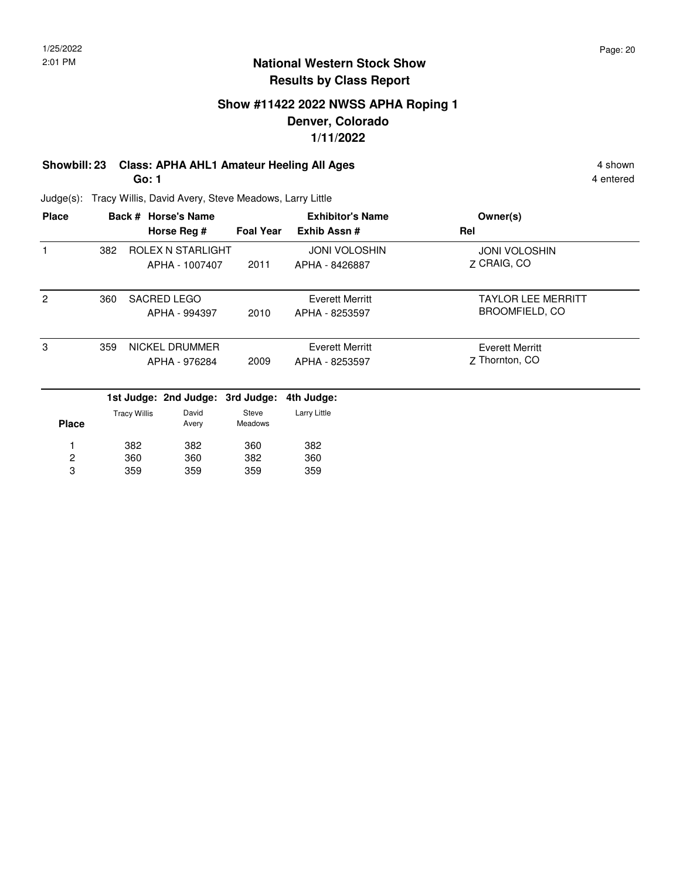### **Show #11422 2022 NWSS APHA Roping 1 Denver, Colorado 1/11/2022**

# **Showbill: 23 Class: APHA AHL1 Amateur Heeling All Ages** 4 shown

**Go: 1**

4 entered

| <b>Place</b> |     |                     | Back # Horse's Name              |                         | <b>Exhibitor's Name</b> | Owner(s)                  |
|--------------|-----|---------------------|----------------------------------|-------------------------|-------------------------|---------------------------|
|              |     |                     | Horse Reg #                      | <b>Foal Year</b>        | Exhib Assn#             | Rel                       |
|              | 382 |                     | ROLEX N STARLIGHT                |                         | <b>JONI VOLOSHIN</b>    | <b>JONI VOLOSHIN</b>      |
|              |     |                     | APHA - 1007407                   | 2011                    | APHA - 8426887          | Z CRAIG, CO               |
| 2            | 360 |                     | <b>SACRED LEGO</b>               |                         | Everett Merritt         | <b>TAYLOR LEE MERRITT</b> |
|              |     |                     | APHA - 994397                    | 2010                    | APHA - 8253597          | <b>BROOMFIELD, CO</b>     |
| 3            | 359 |                     | NICKEL DRUMMER                   |                         | Everett Merritt         | <b>Everett Merritt</b>    |
|              |     |                     | APHA - 976284                    | 2009                    | APHA - 8253597          | Z Thornton, CO            |
|              |     |                     | 1st Judge: 2nd Judge: 3rd Judge: |                         | 4th Judge:              |                           |
| <b>Place</b> |     | <b>Tracy Willis</b> | David<br>Avery                   | Steve<br><b>Meadows</b> | Larry Little            |                           |
|              |     | 382                 | 382                              | 360                     | 382                     |                           |
| 2            |     | 360                 | 360                              | 382                     | 360                     |                           |
| 3            |     | 359                 | 359                              | 359                     | 359                     |                           |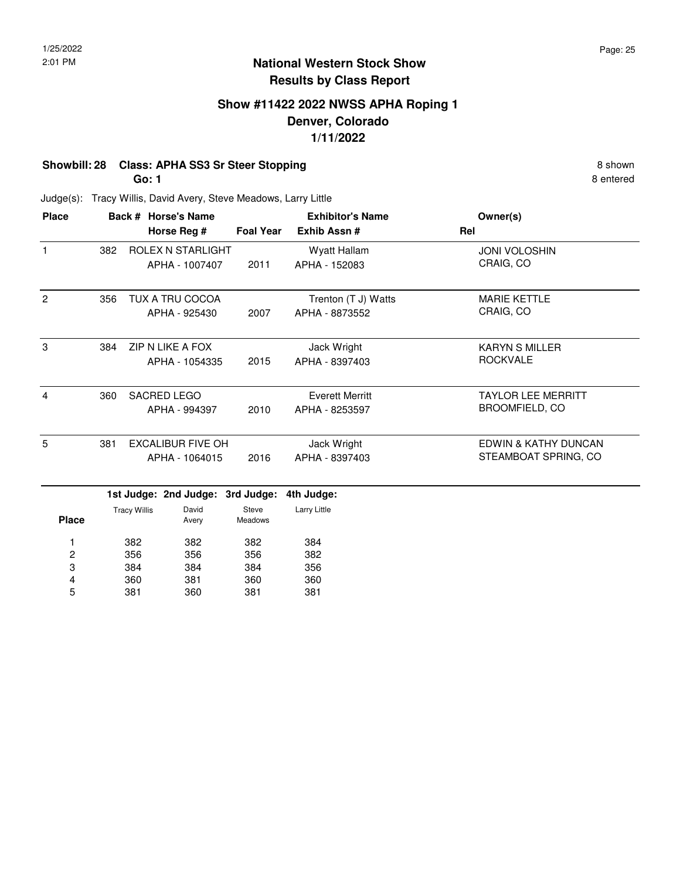### **Show #11422 2022 NWSS APHA Roping 1 Denver, Colorado 1/11/2022**

## **Showbill: 28 Class: APHA SS3 Sr Steer Stopping 8 shown 8 shown 8 shown**

**Go: 1**

8 entered

| <b>Place</b>   |     |                     | Back # Horse's Name      |                  | <b>Exhibitor's Name</b> | Owner(s)                  |
|----------------|-----|---------------------|--------------------------|------------------|-------------------------|---------------------------|
|                |     |                     | Horse Reg #              | <b>Foal Year</b> | Exhib Assn #            | Rel                       |
| $\mathbf{1}$   | 382 |                     | ROLEX N STARLIGHT        |                  | Wyatt Hallam            | <b>JONI VOLOSHIN</b>      |
|                |     |                     | APHA - 1007407           | 2011             | APHA - 152083           | CRAIG, CO                 |
| $\overline{2}$ | 356 |                     | TUX A TRU COCOA          |                  | Trenton (T J) Watts     | <b>MARIE KETTLE</b>       |
|                |     |                     | APHA - 925430            | 2007             | APHA - 8873552          | CRAIG, CO                 |
| 3              | 384 |                     | <b>ZIP N LIKE A FOX</b>  |                  | Jack Wright             | <b>KARYN S MILLER</b>     |
|                |     |                     | APHA - 1054335           | 2015             | APHA - 8397403          | <b>ROCKVALE</b>           |
| 4              | 360 |                     | <b>SACRED LEGO</b>       |                  | <b>Everett Merritt</b>  | <b>TAYLOR LEE MERRITT</b> |
|                |     |                     | APHA - 994397            | 2010             | APHA - 8253597          | <b>BROOMFIELD, CO</b>     |
| 5              | 381 |                     | <b>EXCALIBUR FIVE OH</b> |                  | Jack Wright             | EDWIN & KATHY DUNCAN      |
|                |     |                     | APHA - 1064015           | 2016             | APHA - 8397403          | STEAMBOAT SPRING, CO      |
|                |     |                     | 1st Judge: 2nd Judge:    | 3rd Judge:       | 4th Judge:              |                           |
| <b>Place</b>   |     | <b>Tracy Willis</b> | David<br>Avery           | Steve<br>Meadows | Larry Little            |                           |
| 1              |     | 382                 | 382                      | 382              | 384                     |                           |
| 2              |     | 356                 | 356                      | 356              | 382                     |                           |
| 3              |     | 384                 | 384                      | 384              | 356                     |                           |
| 4              |     | 360                 | 381                      | 360              | 360                     |                           |
| 5              |     | 381                 | 360                      | 381              | 381                     |                           |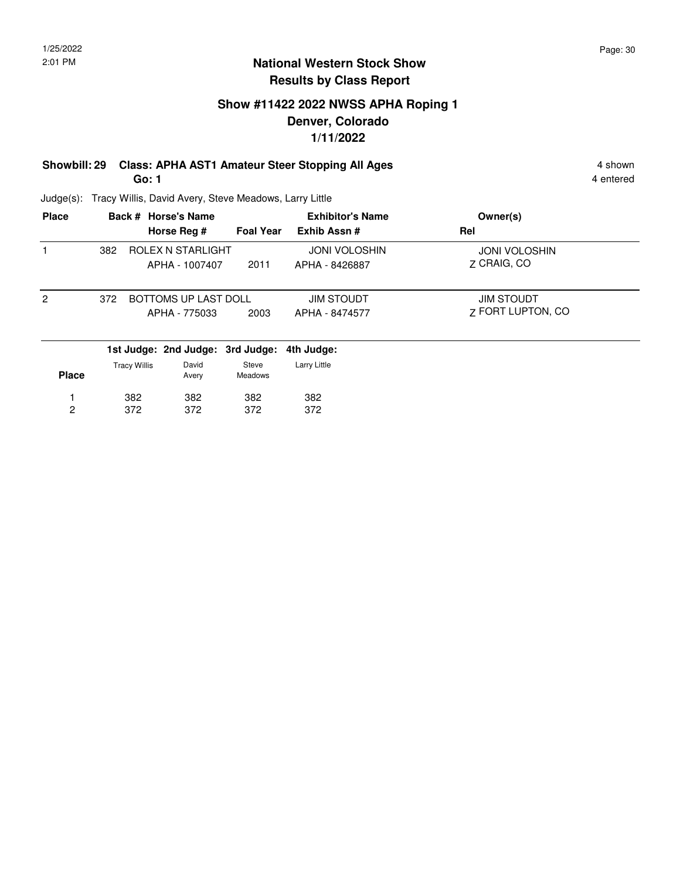### **Show #11422 2022 NWSS APHA Roping 1 Denver, Colorado 1/11/2022**

#### **Showbill: 29 Class: APHA AST1 Amateur Steer Stopping All Ages** 4 shown **Go: 1**

4 entered

Judge(s): Tracy Willis, David Avery, Steve Meadows, Larry Little

382 372 382 372

382 372

1 2

| <b>Place</b>   |     |                     | Back # Horse's Name                   |                  | <b>Exhibitor's Name</b>                | Owner(s)                                      |
|----------------|-----|---------------------|---------------------------------------|------------------|----------------------------------------|-----------------------------------------------|
|                |     |                     | Horse Reg #                           | <b>Foal Year</b> | Exhib Assn#                            | Rel                                           |
|                | 382 |                     | ROLEX N STARLIGHT<br>APHA - 1007407   | 2011             | <b>JONI VOLOSHIN</b><br>APHA - 8426887 | <b>JONI VOLOSHIN</b><br>7 CRAIG, CO           |
| $\overline{2}$ | 372 |                     | BOTTOMS UP LAST DOLL<br>APHA - 775033 | 2003             | <b>JIM STOUDT</b><br>APHA - 8474577    | <b>JIM STOUDT</b><br><b>7 FORT LUPTON, CO</b> |
|                |     |                     | 1st Judge: 2nd Judge: 3rd Judge:      |                  | 4th Judge:                             |                                               |
| <b>Place</b>   |     | <b>Tracy Willis</b> | David<br>Avery                        | Steve<br>Meadows | Larry Little                           |                                               |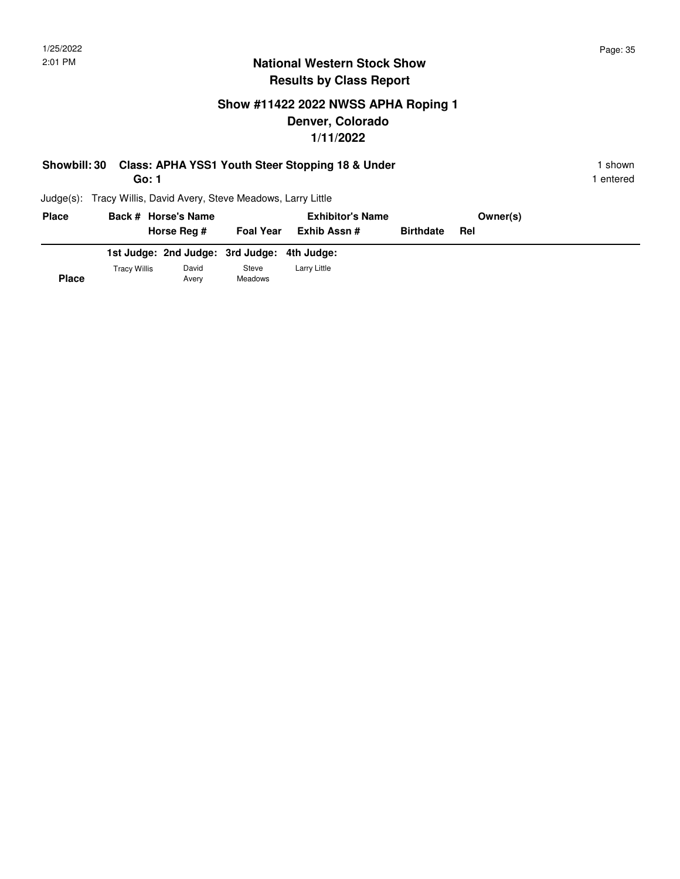**Place**

### **National Western Stock Show Results by Class Report**

## **Show #11422 2022 NWSS APHA Roping 1 Denver, Colorado 1/11/2022**

| <b>Showbill: 30</b> | Go: 1                                                  |                  | Class: APHA YSS1 Youth Steer Stopping 18 & Under |                  |          | shown<br>entered |
|---------------------|--------------------------------------------------------|------------------|--------------------------------------------------|------------------|----------|------------------|
| $Judge(s)$ :        | Tracy Willis, David Avery, Steve Meadows, Larry Little |                  |                                                  |                  |          |                  |
| <b>Place</b>        | Back # Horse's Name                                    |                  | <b>Exhibitor's Name</b>                          |                  | Owner(s) |                  |
|                     | Horse Reg #                                            | <b>Foal Year</b> | Exhib Assn #                                     | <b>Birthdate</b> | Rel      |                  |

|              | 1st Judge: 2nd Judge: 3rd Judge: 4th Judge: |       |                     |
|--------------|---------------------------------------------|-------|---------------------|
| Tracv Willis | David                                       | Steve | <b>Larry Little</b> |

Avery Meadows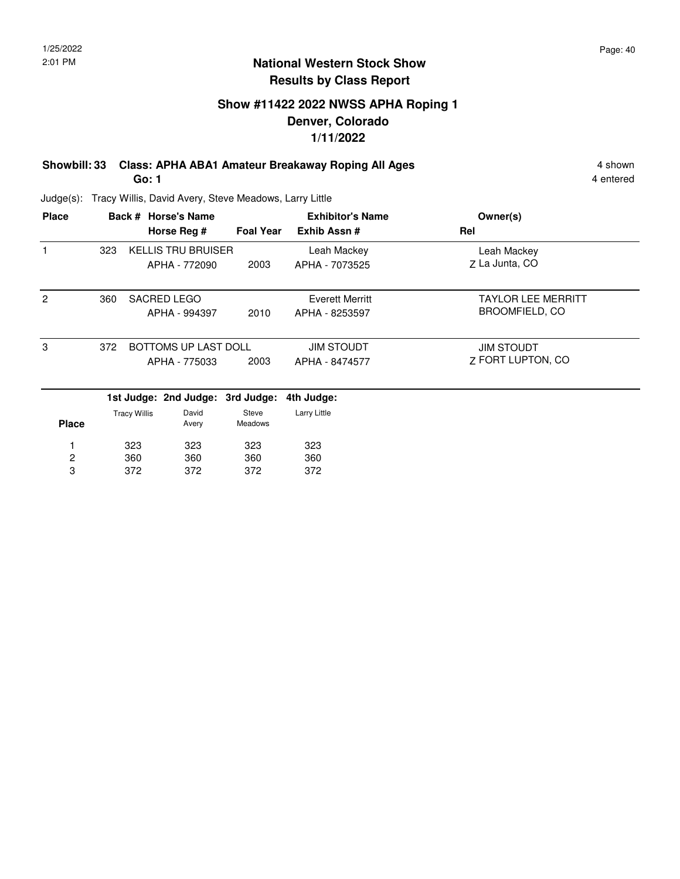### **Show #11422 2022 NWSS APHA Roping 1 Denver, Colorado 1/11/2022**

**Showbill: 33 Class: APHA ABA1 Amateur Breakaway Roping All Ages** 4 shown 4 shown **Go: 1**

4 entered

| <b>Place</b>   |     |                     | Back # Horse's Name              |                  | <b>Exhibitor's Name</b> | Owner(s)                  |
|----------------|-----|---------------------|----------------------------------|------------------|-------------------------|---------------------------|
|                |     |                     | Horse Reg #                      | <b>Foal Year</b> | Exhib Assn#             | Rel                       |
| $\mathbf{1}$   | 323 |                     | <b>KELLIS TRU BRUISER</b>        |                  | Leah Mackey             | Leah Mackey               |
|                |     |                     | APHA - 772090                    | 2003             | APHA - 7073525          | Z La Junta, CO            |
| 2              | 360 |                     | SACRED LEGO                      |                  | <b>Everett Merritt</b>  | <b>TAYLOR LEE MERRITT</b> |
|                |     |                     | APHA - 994397                    | 2010             | APHA - 8253597          | <b>BROOMFIELD, CO</b>     |
| 3              | 372 |                     | BOTTOMS UP LAST DOLL             |                  | <b>JIM STOUDT</b>       | <b>JIM STOUDT</b>         |
|                |     |                     | APHA - 775033                    | 2003             | APHA - 8474577          | 7 FORT LUPTON, CO         |
|                |     |                     | 1st Judge: 2nd Judge: 3rd Judge: |                  | 4th Judge:              |                           |
| <b>Place</b>   |     | <b>Tracy Willis</b> | David<br>Avery                   | Steve<br>Meadows | Larry Little            |                           |
|                |     | 323                 | 323                              | 323              | 323                     |                           |
| $\overline{c}$ |     | 360                 | 360                              | 360              | 360                     |                           |
| 3              |     | 372                 | 372                              | 372              | 372                     |                           |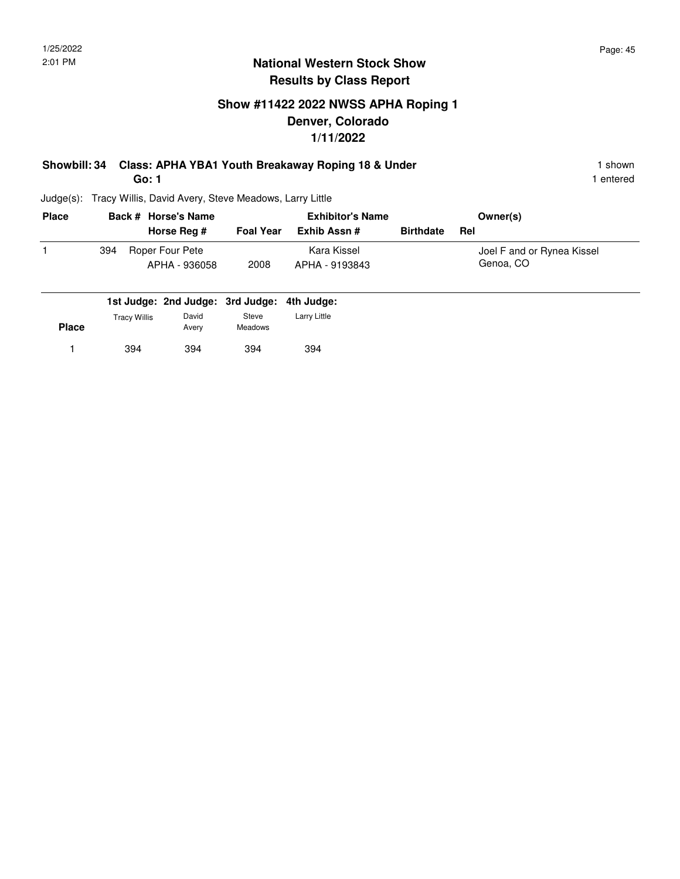### **Show #11422 2022 NWSS APHA Roping 1 Denver, Colorado 1/11/2022**

### **Showbill: 34 Class: APHA YBA1 Youth Breakaway Roping 18 & Under** 1 Shown 1 shown **Go: 1**

| <b>Place</b> |     | Back # Horse's Name |                  | <b>Exhibitor's Name</b> | Owner(s)         |                            |
|--------------|-----|---------------------|------------------|-------------------------|------------------|----------------------------|
|              |     | Horse Reg #         | <b>Foal Year</b> | Exhib Assn #            | <b>Birthdate</b> | Rel                        |
|              | 394 | Roper Four Pete     |                  | Kara Kissel             |                  | Joel F and or Rynea Kissel |
|              |     | APHA - 936058       | 2008             | APHA - 9193843          |                  | Genoa, CO                  |
|              |     |                     |                  |                         |                  |                            |

|              |                     | 1st Judge: 2nd Judge: 3rd Judge: 4th Judge: |                         |              |
|--------------|---------------------|---------------------------------------------|-------------------------|--------------|
| <b>Place</b> | <b>Tracy Willis</b> | David<br>Avery                              | Steve<br><b>Meadows</b> | Larry Little |
|              | 394                 | 394                                         | 394                     | 394          |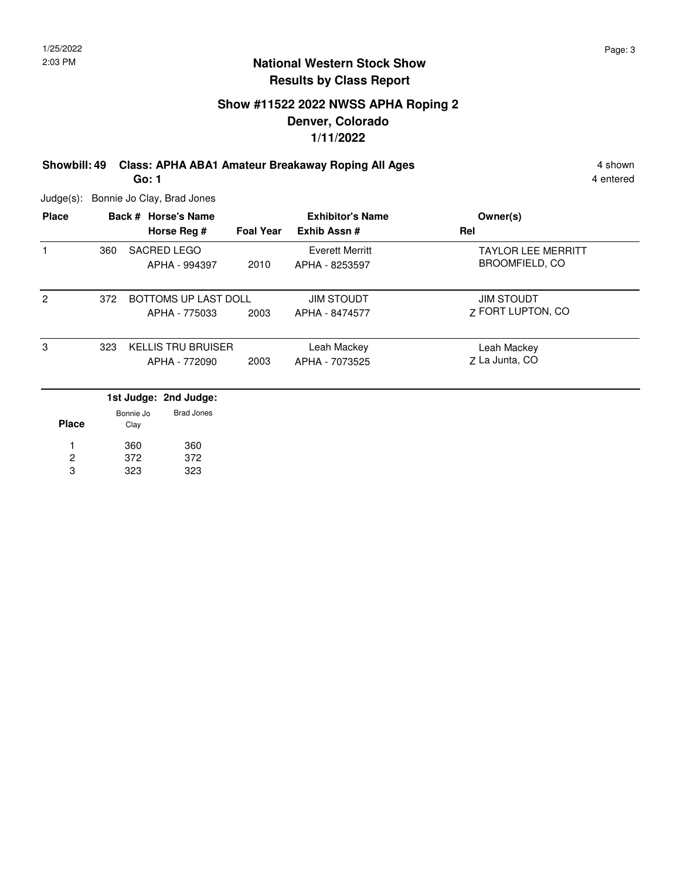### **Show #11522 2022 NWSS APHA Roping 2 Denver, Colorado 1/11/2022**

**Showbill: 49 Class: APHA ABA1 Amateur Breakaway Roping All Ages** 4 shown 4 shown

**Go: 1**

4 entered

Judge(s): Bonnie Jo Clay, Brad Jones

323

3

| <b>Place</b>   |     |                   | Back # Horse's Name       |                  | <b>Exhibitor's Name</b> | Owner(s)                  |
|----------------|-----|-------------------|---------------------------|------------------|-------------------------|---------------------------|
|                |     |                   | Horse Reg #               | <b>Foal Year</b> | Exhib Assn#             | Rel                       |
|                | 360 |                   | SACRED LEGO               |                  | <b>Everett Merritt</b>  | <b>TAYLOR LEE MERRITT</b> |
|                |     |                   | APHA - 994397             | 2010             | APHA - 8253597          | <b>BROOMFIELD, CO</b>     |
| $\overline{2}$ | 372 |                   | BOTTOMS UP LAST DOLL      |                  | <b>JIM STOUDT</b>       | <b>JIM STOUDT</b>         |
|                |     |                   | APHA - 775033             | 2003             | APHA - 8474577          | 7 FORT LUPTON, CO         |
| 3              | 323 |                   | <b>KELLIS TRU BRUISER</b> |                  | Leah Mackey             | Leah Mackey               |
|                |     |                   | APHA - 772090             | 2003             | APHA - 7073525          | Z La Junta, CO            |
|                |     |                   | 1st Judge: 2nd Judge:     |                  |                         |                           |
| <b>Place</b>   |     | Bonnie Jo<br>Clay | <b>Brad Jones</b>         |                  |                         |                           |
|                |     | 360               | 360                       |                  |                         |                           |
| $\overline{2}$ |     | 372               | 372                       |                  |                         |                           |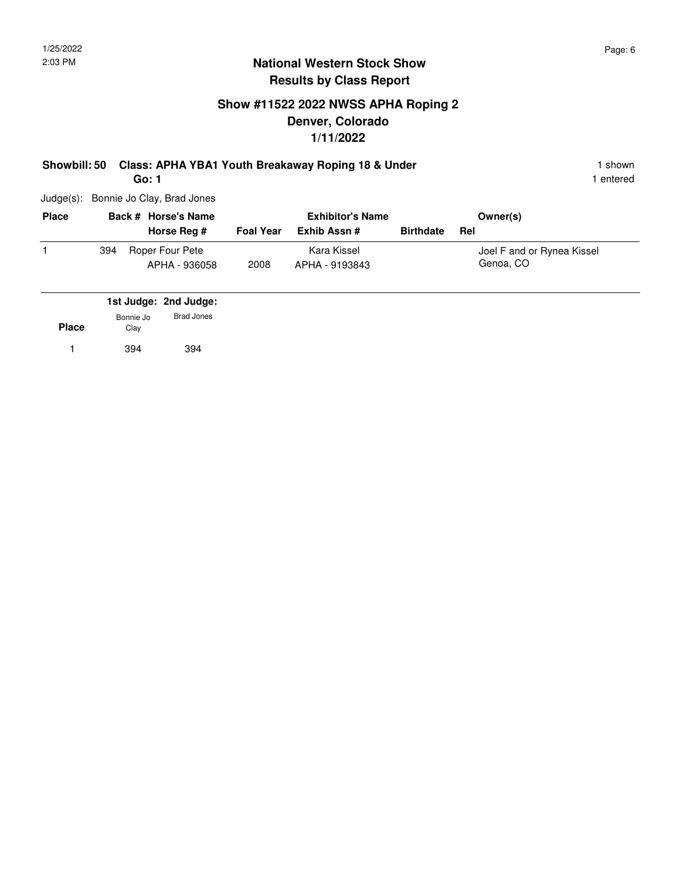### **Show #11522 2022 NWSS APHA Roping 2 Denver, Colorado 1/11/2022**

## **Showbill: 50 Class: APHA YBA1 Youth Breakaway Roping 18 & Under** 1 **Shown** 1 shown

**Go: 1**

1 entered

Judge(s): Bonnie Jo Clay, Brad Jones

| <b>Place</b> |     | Back # Horse's Name              |                  | <b>Exhibitor's Name</b>       |                  | Owner(s)                                |
|--------------|-----|----------------------------------|------------------|-------------------------------|------------------|-----------------------------------------|
|              |     | Horse Reg #                      | <b>Foal Year</b> | Exhib Assn #                  | <b>Birthdate</b> | Rel                                     |
|              | 394 | Roper Four Pete<br>APHA - 936058 | 2008             | Kara Kissel<br>APHA - 9193843 |                  | Joel F and or Rynea Kissel<br>Genoa, CO |

|              |                   | 1st Judge: 2nd Judge: |  |
|--------------|-------------------|-----------------------|--|
| <b>Place</b> | Bonnie Jo<br>Clay | Brad Jones            |  |
|              | 394               | 394                   |  |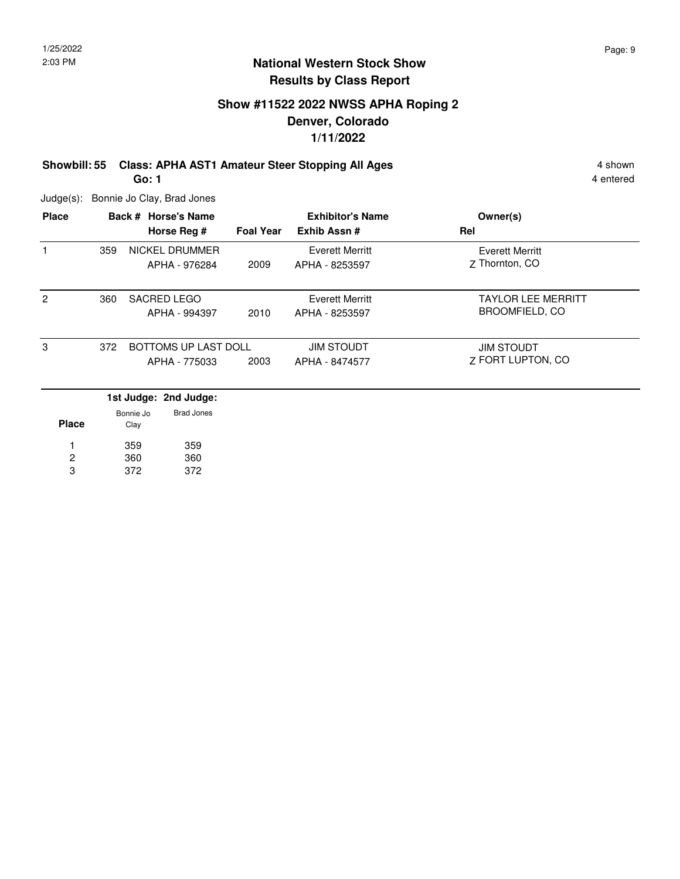### **Show #11522 2022 NWSS APHA Roping 2 Denver, Colorado 1/11/2022**

**Showbill: 55 Class: APHA AST1 Amateur Steer Stopping All Ages** 4 shown 4 shown **Go: 1**

Judge(s): Bonnie Jo Clay, Brad Jones

| <b>Place</b>   |     | Back # Horse's Name                    |                      | <b>Exhibitor's Name</b>           | Owner(s)                          |
|----------------|-----|----------------------------------------|----------------------|-----------------------------------|-----------------------------------|
|                |     | Horse Reg #                            | <b>Foal Year</b>     | Exhib Assn #                      | Rel                               |
| 1              | 359 | <b>NICKEL DRUMMER</b><br>APHA - 976284 | 2009                 | Everett Merritt<br>APHA - 8253597 | Everett Merritt<br>7 Thornton, CO |
|                |     |                                        |                      |                                   |                                   |
| $\overline{2}$ | 360 | <b>SACRED LEGO</b>                     |                      | Everett Merritt                   | <b>TAYLOR LEE MERRITT</b>         |
|                |     |                                        | APHA - 994397        | 2010                              | APHA - 8253597                    |
| 3              | 372 |                                        | BOTTOMS UP LAST DOLL |                                   | <b>JIM STOUDT</b>                 |
|                |     | APHA - 775033                          | 2003                 | APHA - 8474577                    | 7 FORT LUPTON, CO                 |
|                |     | 1st Judge: 2nd Judge:                  |                      |                                   |                                   |
| <b>Place</b>   |     | <b>Brad Jones</b><br>Bonnie Jo<br>Clay |                      |                                   |                                   |

| . | - - - - |     |
|---|---------|-----|
|   | 359     | 359 |
| 2 | 360     | 360 |
| з | 372     | 372 |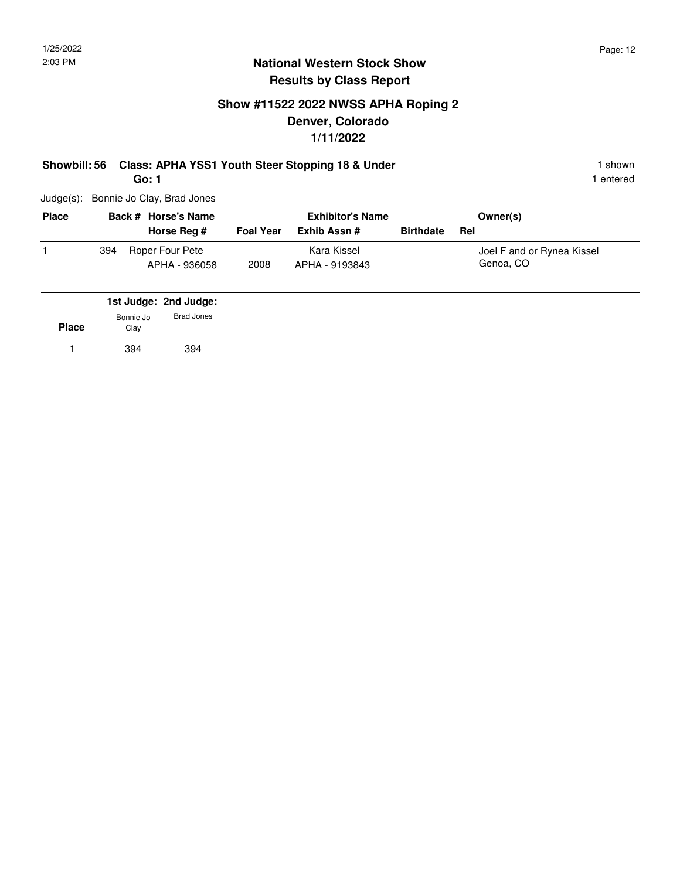## **Show #11522 2022 NWSS APHA Roping 2 Denver, Colorado 1/11/2022**

#### **Showbill: 56 Class: APHA YSS1 Youth Steer Stopping 18 & Under** 1 Shown 1 shown **Go: 1**

1 entered

Judge(s): Bonnie Jo Clay, Brad Jones

| <b>Place</b> |     | Back # Horse's Name              | <b>Exhibitor's Name</b> |                               |                  | Owner(s)                                |
|--------------|-----|----------------------------------|-------------------------|-------------------------------|------------------|-----------------------------------------|
|              |     | Horse Reg #                      | <b>Foal Year</b>        | Exhib Assn #                  | <b>Birthdate</b> | Rel                                     |
|              | 394 | Roper Four Pete<br>APHA - 936058 | 2008                    | Kara Kissel<br>APHA - 9193843 |                  | Joel F and or Rynea Kissel<br>Genoa, CO |

|              |                   | 1st Judge: 2nd Judge: |  |
|--------------|-------------------|-----------------------|--|
| <b>Place</b> | Bonnie Jo<br>Clay | <b>Brad Jones</b>     |  |
|              | 394               | 394                   |  |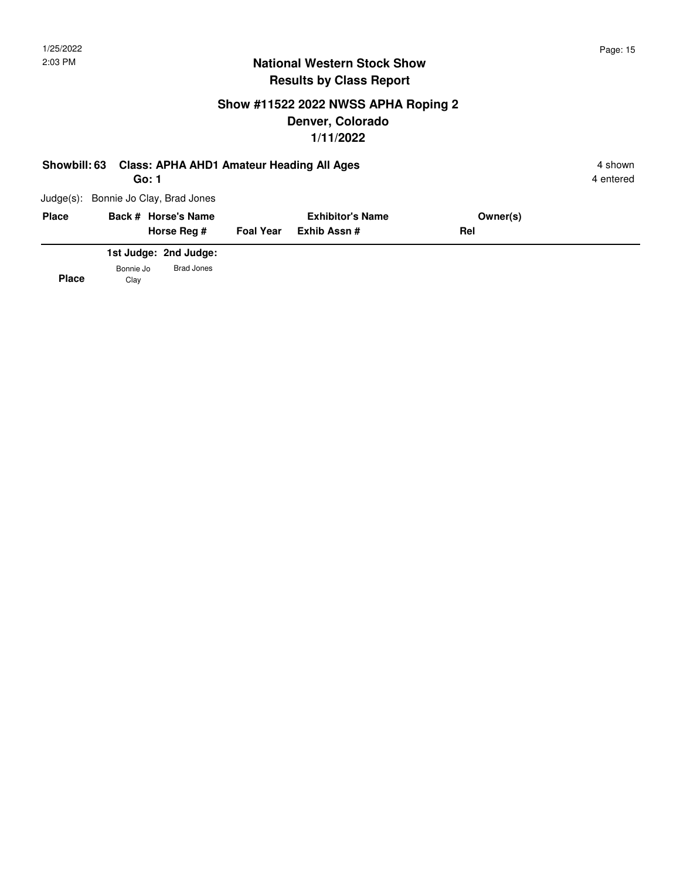## **Show #11522 2022 NWSS APHA Roping 2 Denver, Colorado 1/11/2022**

| Showbill: 63 |                   | <b>Class: APHA AHD1 Amateur Heading All Ages</b><br>Go: 1 |                  |                         |     |          | 4 shown<br>4 entered |
|--------------|-------------------|-----------------------------------------------------------|------------------|-------------------------|-----|----------|----------------------|
| $Judge(s)$ : |                   | Bonnie Jo Clay, Brad Jones                                |                  |                         |     |          |                      |
| <b>Place</b> |                   | Back # Horse's Name                                       |                  | <b>Exhibitor's Name</b> |     | Owner(s) |                      |
|              |                   | Horse Rea #                                               | <b>Foal Year</b> | Exhib Assn#             | Rel |          |                      |
|              |                   | 1st Judge: 2nd Judge:                                     |                  |                         |     |          |                      |
| <b>Place</b> | Bonnie Jo<br>Clay | <b>Brad Jones</b>                                         |                  |                         |     |          |                      |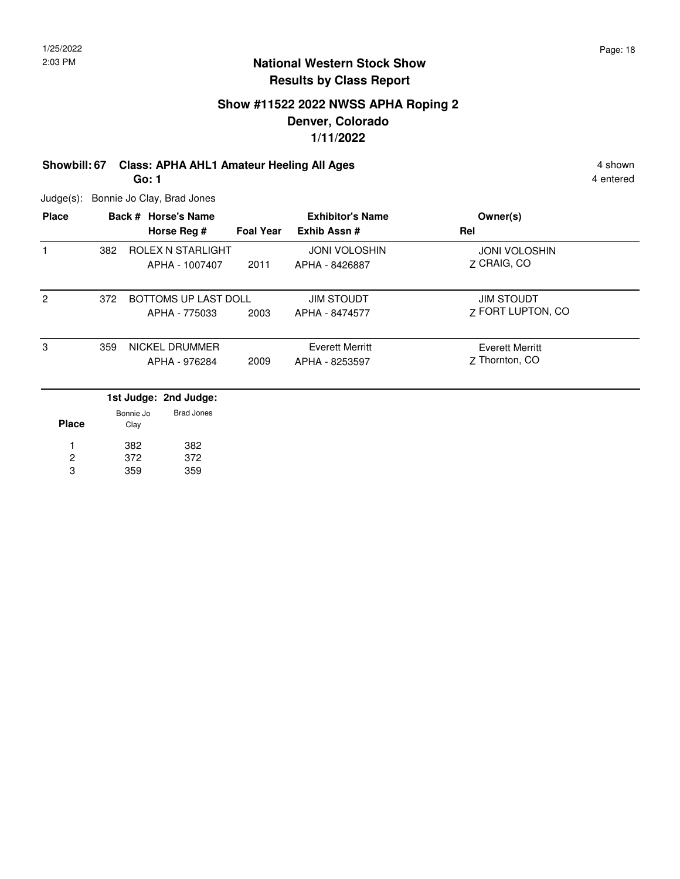### **Show #11522 2022 NWSS APHA Roping 2 Denver, Colorado 1/11/2022**

## **Showbill: 67 Class: APHA AHL1 Amateur Heeling All Ages** 4 shown 4 shown

**Go: 1**

Judge(s): Bonnie Jo Clay, Brad Jones

| <b>Place</b>   |     |                   | Back # Horse's Name                        |                  | <b>Exhibitor's Name</b>                | Owner(s)                                 |
|----------------|-----|-------------------|--------------------------------------------|------------------|----------------------------------------|------------------------------------------|
|                |     |                   | Horse Reg #                                | <b>Foal Year</b> | Exhib Assn#                            | Rel                                      |
|                | 382 |                   | ROLEX N STARLIGHT<br>APHA - 1007407        | 2011             | <b>JONI VOLOSHIN</b><br>APHA - 8426887 | <b>JONI VOLOSHIN</b><br>Z CRAIG, CO      |
| $\overline{2}$ | 372 |                   | BOTTOMS UP LAST DOLL<br>APHA - 775033      | 2003             | <b>JIM STOUDT</b><br>APHA - 8474577    | <b>JIM STOUDT</b><br>7 FORT LUPTON, CO   |
| 3              | 359 |                   | NICKEL DRUMMER<br>APHA - 976284            | 2009             | Everett Merritt<br>APHA - 8253597      | <b>Everett Merritt</b><br>7 Thornton, CO |
| <b>Place</b>   |     | Bonnie Jo<br>Clay | 1st Judge: 2nd Judge:<br><b>Brad Jones</b> |                  |                                        |                                          |

|   | 382 | 382 |
|---|-----|-----|
| 2 | 372 | 372 |
| з | 359 | 359 |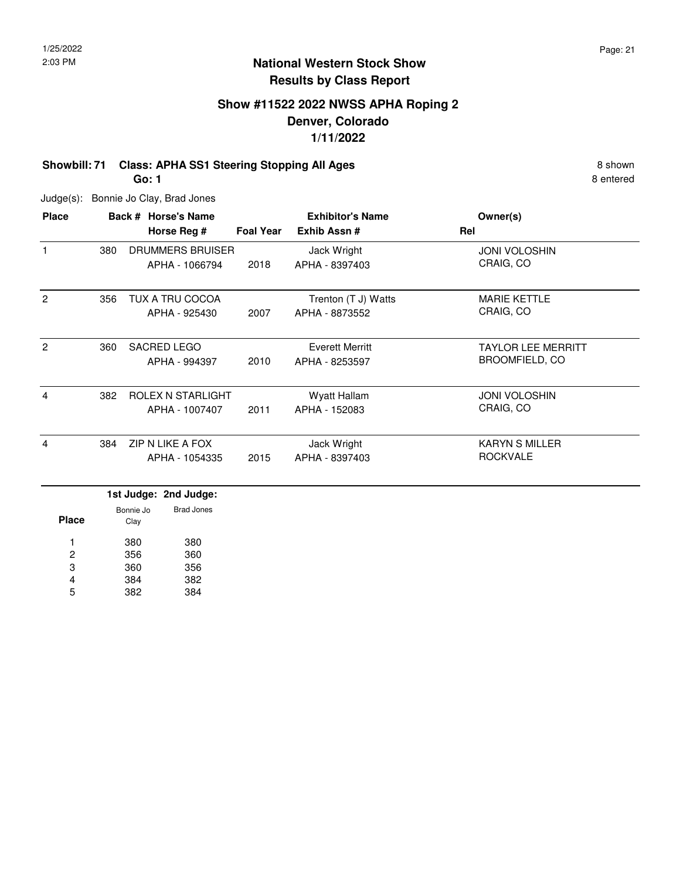## **Show #11522 2022 NWSS APHA Roping 2 Denver, Colorado 1/11/2022**

#### **Showbill: 71 Class: APHA SS1 Steering Stopping All Ages** 8 Shown 8 shown **Go: 1**

Judge(s): Bonnie Jo Clay, Brad Jones

| <b>Place</b>   |     | Back # Horse's Name<br>Horse Reg #  | <b>Foal Year</b> | <b>Exhibitor's Name</b><br>Exhib Assn#   | Owner(s)<br>Rel                                    |
|----------------|-----|-------------------------------------|------------------|------------------------------------------|----------------------------------------------------|
| $\mathbf{1}$   | 380 | DRUMMERS BRUISER<br>APHA - 1066794  | 2018             | Jack Wright<br>APHA - 8397403            | <b>JONI VOLOSHIN</b><br>CRAIG, CO                  |
| $\overline{2}$ | 356 | TUX A TRU COCOA<br>APHA - 925430    | 2007             | Trenton (T J) Watts<br>APHA - 8873552    | <b>MARIE KETTLE</b><br>CRAIG, CO                   |
| 2              | 360 | SACRED LEGO<br>APHA - 994397        | 2010             | <b>Everett Merritt</b><br>APHA - 8253597 | <b>TAYLOR LEE MERRITT</b><br><b>BROOMFIELD, CO</b> |
| 4              | 382 | ROLEX N STARLIGHT<br>APHA - 1007407 | 2011             | Wyatt Hallam<br>APHA - 152083            | <b>JONI VOLOSHIN</b><br>CRAIG, CO                  |
| 4              | 384 | ZIP N LIKE A FOX<br>APHA - 1054335  | 2015             | Jack Wright<br>APHA - 8397403            | <b>KARYN S MILLER</b><br><b>ROCKVALE</b>           |
|                |     | 1et ludge, 2nd ludge,               |                  |                                          |                                                    |

|       |                   | 1st Judge: 2nd Judge: |  |
|-------|-------------------|-----------------------|--|
| Place | Bonnie Jo<br>Clay | Brad Jones            |  |
| 1     | 380               | 380                   |  |
| 2     | 356               | 360                   |  |
| 3     | 360               | 356                   |  |
| 4     | 384               | 382                   |  |
| 5     | 382               | 384                   |  |
|       |                   |                       |  |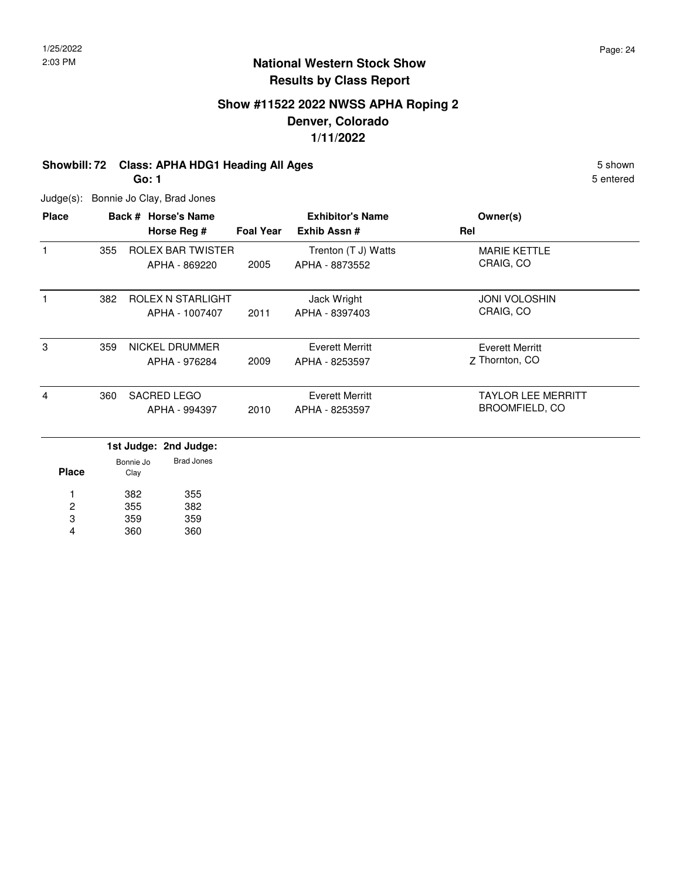## **Show #11522 2022 NWSS APHA Roping 2 Denver, Colorado 1/11/2022**

### **Showbill: 72 Class: APHA HDG1 Heading All Ages** 5 Shown 5 shown

**Go: 1**

Judge(s): Bonnie Jo Clay, Brad Jones

| <b>Place</b> |     | Back # Horse's Name                |                  | <b>Exhibitor's Name</b>               | Owner(s)                                           |
|--------------|-----|------------------------------------|------------------|---------------------------------------|----------------------------------------------------|
|              |     | Horse Reg #                        | <b>Foal Year</b> | Exhib Assn#                           | Rel                                                |
| 1            | 355 | ROLEX BAR TWISTER<br>APHA - 869220 | 2005             | Trenton (T J) Watts<br>APHA - 8873552 | <b>MARIE KETTLE</b><br>CRAIG, CO                   |
|              | 382 | ROLEX N STARLIGHT                  |                  |                                       | <b>JONI VOLOSHIN</b>                               |
|              |     | APHA - 1007407                     | 2011             | Jack Wright<br>APHA - 8397403         | CRAIG, CO                                          |
| 3            | 359 | NICKEL DRUMMER<br>APHA - 976284    | 2009             | Everett Merritt<br>APHA - 8253597     | Everett Merritt<br>7 Thornton, CO                  |
| 4            | 360 | SACRED LEGO<br>APHA - 994397       | 2010             | Everett Merritt<br>APHA - 8253597     | <b>TAYLOR LEE MERRITT</b><br><b>BROOMFIELD, CO</b> |

|       |                   | 1st Judge: 2nd Judge: |
|-------|-------------------|-----------------------|
| Place | Bonnie Jo<br>Clay | Brad Jones            |
| 1     | 382               | 355                   |
| 2     | 355               | 382                   |
| 3     | 359               | 359                   |
|       | 360               | 360                   |
|       |                   |                       |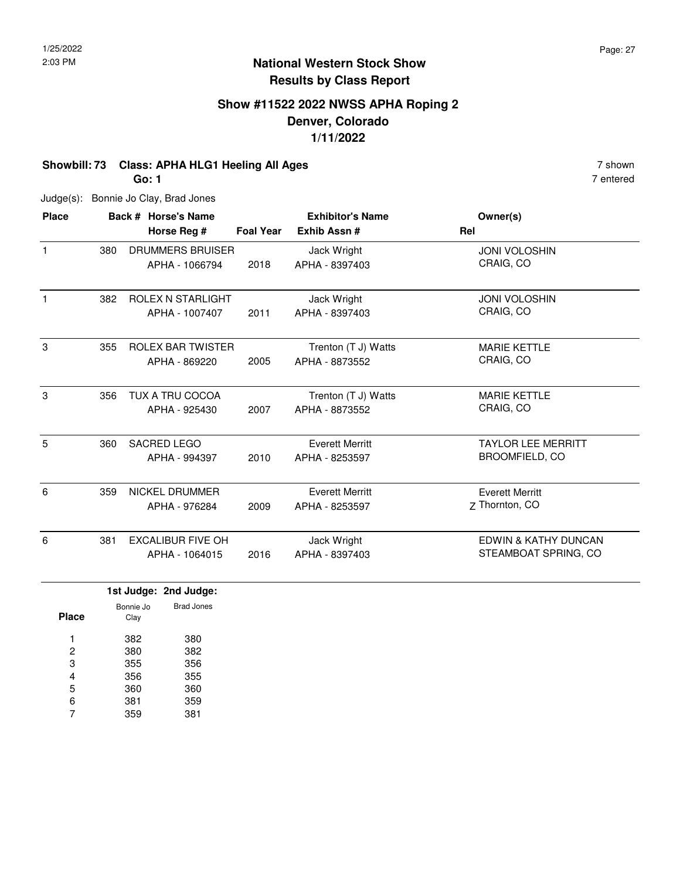7 entered

### **National Western Stock Show Results by Class Report**

## **Show #11522 2022 NWSS APHA Roping 2 Denver, Colorado 1/11/2022**

### **Showbill: 73 Class: APHA HLG1 Heeling All Ages 7 shown** 7 shown

**Go: 1**

Judge(s): Bonnie Jo Clay, Brad Jones

| <b>Place</b> |     | Back # Horse's Name      |                  | <b>Exhibitor's Name</b> | Owner(s)                  |
|--------------|-----|--------------------------|------------------|-------------------------|---------------------------|
|              |     | Horse Reg #              | <b>Foal Year</b> | Exhib Assn#             | Rel                       |
| $\mathbf{1}$ | 380 | <b>DRUMMERS BRUISER</b>  |                  | Jack Wright             | <b>JONI VOLOSHIN</b>      |
|              |     | APHA - 1066794           | 2018             | APHA - 8397403          | CRAIG, CO                 |
| $\mathbf{1}$ | 382 | <b>ROLEX N STARLIGHT</b> |                  | Jack Wright             | <b>JONI VOLOSHIN</b>      |
|              |     | APHA - 1007407           | 2011             | APHA - 8397403          | CRAIG, CO                 |
| 3            | 355 | <b>ROLEX BAR TWISTER</b> |                  | Trenton (T J) Watts     | <b>MARIE KETTLE</b>       |
|              |     | APHA - 869220            | 2005             | APHA - 8873552          | CRAIG, CO                 |
| 3            | 356 | <b>TUX A TRU COCOA</b>   |                  | Trenton (T J) Watts     | <b>MARIE KETTLE</b>       |
|              |     | APHA - 925430            | 2007             | APHA - 8873552          | CRAIG, CO                 |
| 5            | 360 | <b>SACRED LEGO</b>       |                  | <b>Everett Merritt</b>  | <b>TAYLOR LEE MERRITT</b> |
|              |     | APHA - 994397            | 2010             | APHA - 8253597          | <b>BROOMFIELD, CO</b>     |
| 6            | 359 | NICKEL DRUMMER           |                  | <b>Everett Merritt</b>  | <b>Everett Merritt</b>    |
|              |     | APHA - 976284            | 2009             | APHA - 8253597          | Z Thornton, CO            |
| 6            | 381 | <b>EXCALIBUR FIVE OH</b> |                  | Jack Wright             | EDWIN & KATHY DUNCAN      |
|              |     | APHA - 1064015           | 2016             | APHA - 8397403          | STEAMBOAT SPRING, CO      |

|       |                   | 1st Judge: 2nd Judge: |  |
|-------|-------------------|-----------------------|--|
| Place | Bonnie Jo<br>Clay | Brad Jones            |  |
| 1     | 382               | 380                   |  |
| 2     | 380               | 382                   |  |
| 3     | 355               | 356                   |  |
| 4     | 356               | 355                   |  |
| 5     | 360               | 360                   |  |
| 6     | 381               | 359                   |  |
|       | 359               | 381                   |  |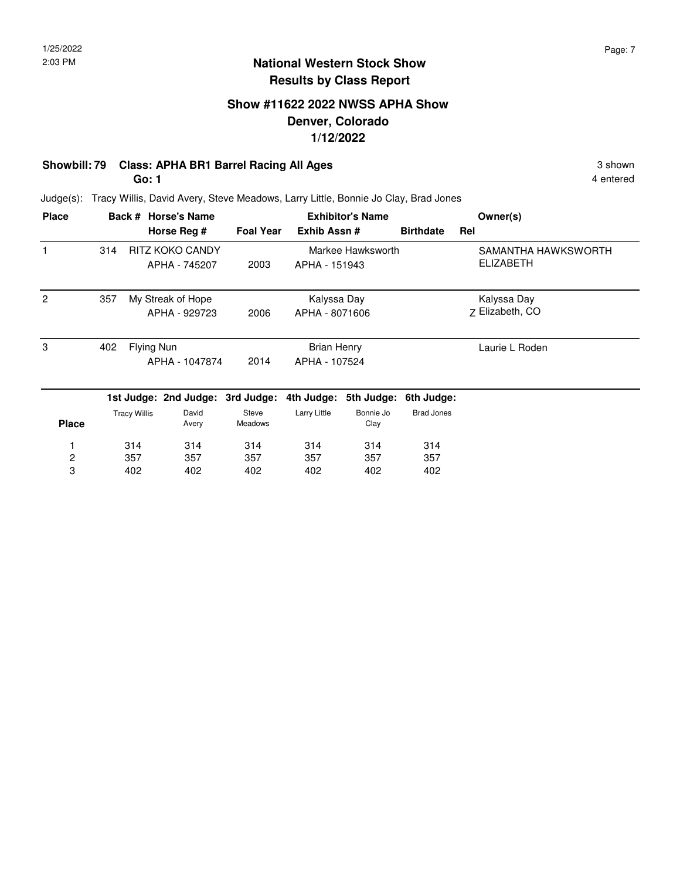### **Show #11622 2022 NWSS APHA Show Denver, Colorado 1/12/2022**

### **Showbill: 79 Class: APHA BR1 Barrel Racing All Ages** 3 shown 3 shown

**Go: 1**

4 entered

Judge(s): Tracy Willis, David Avery, Steve Meadows, Larry Little, Bonnie Jo Clay, Brad Jones

| <b>Place</b>   | Back # Horse's Name |                     |                                  |                  |                    | <b>Exhibitor's Name</b> | Owner(s)          |                     |
|----------------|---------------------|---------------------|----------------------------------|------------------|--------------------|-------------------------|-------------------|---------------------|
|                |                     |                     | Horse Reg #                      | <b>Foal Year</b> | Exhib Assn#        |                         | <b>Birthdate</b>  | Rel                 |
|                | 314                 |                     | RITZ KOKO CANDY                  |                  |                    | Markee Hawksworth       |                   | SAMANTHA HAWKSWORTH |
|                |                     |                     | APHA - 745207                    | 2003             | APHA - 151943      |                         |                   | <b>ELIZABETH</b>    |
| $\mathcal{P}$  | 357                 |                     | My Streak of Hope                |                  | Kalyssa Day        |                         |                   | Kalyssa Day         |
|                |                     |                     | APHA - 929723                    | 2006             | APHA - 8071606     |                         |                   | Z Elizabeth, CO     |
| 3              | 402                 | Flying Nun          |                                  |                  | <b>Brian Henry</b> |                         |                   | Laurie L Roden      |
|                |                     |                     | APHA - 1047874                   | 2014             | APHA - 107524      |                         |                   |                     |
|                |                     |                     | 1st Judge: 2nd Judge: 3rd Judge: |                  |                    | 4th Judge: 5th Judge:   | 6th Judge:        |                     |
| <b>Place</b>   |                     | <b>Tracy Willis</b> | David<br>Avery                   | Steve<br>Meadows | Larry Little       | Bonnie Jo<br>Clay       | <b>Brad Jones</b> |                     |
|                |                     | 314                 | 314                              | 314              | 314                | 314                     | 314               |                     |
| $\overline{c}$ |                     | 357                 | 357                              | 357              | 357                | 357                     | 357               |                     |
| 3              |                     | 402                 | 402                              | 402              | 402                | 402                     | 402               |                     |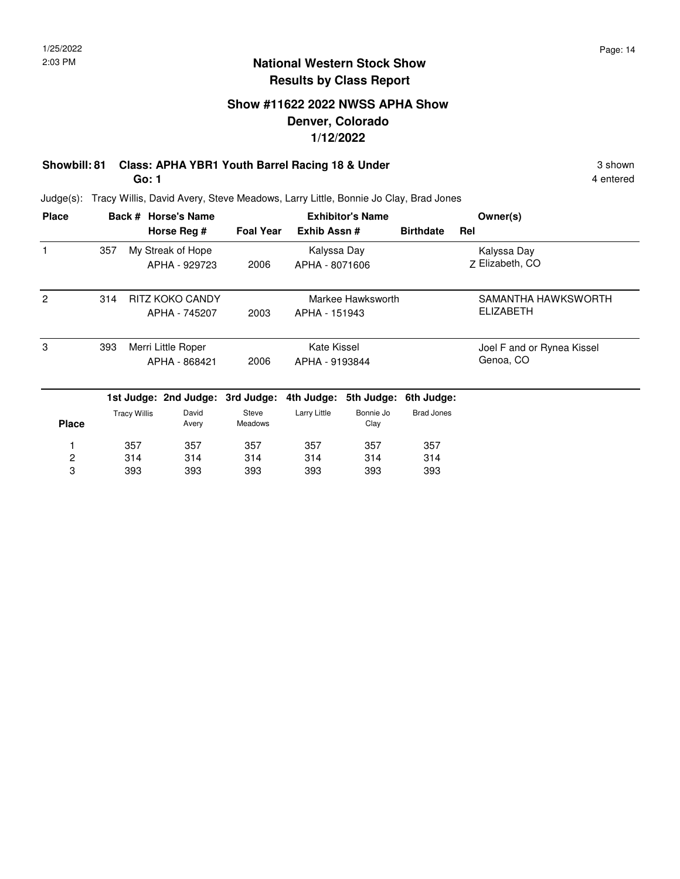### **Show #11622 2022 NWSS APHA Show Denver, Colorado 1/12/2022**

# **Showbill: 81 Class: APHA YBR1 Youth Barrel Racing 18 & Under** 3 shown 3 shown

**Go: 1**

4 entered

Judge(s): Tracy Willis, David Avery, Steve Meadows, Larry Little, Bonnie Jo Clay, Brad Jones

| <b>Place</b>   |     |                     | Back # Horse's Name              |                  | <b>Exhibitor's Name</b> |                   |                   | Owner(s)                   |
|----------------|-----|---------------------|----------------------------------|------------------|-------------------------|-------------------|-------------------|----------------------------|
|                |     |                     | Horse Reg #                      | <b>Foal Year</b> | Exhib Assn#             |                   | <b>Birthdate</b>  | Rel                        |
|                | 357 |                     | My Streak of Hope                |                  | Kalyssa Day             |                   |                   | Kalyssa Day                |
|                |     |                     | APHA - 929723                    | 2006             | APHA - 8071606          |                   |                   | Z Elizabeth, CO            |
| $\overline{2}$ | 314 |                     | RITZ KOKO CANDY                  |                  |                         | Markee Hawksworth |                   | SAMANTHA HAWKSWORTH        |
|                |     |                     | APHA - 745207                    | 2003             | APHA - 151943           |                   |                   | <b>ELIZABETH</b>           |
| 3              | 393 |                     | Merri Little Roper               |                  | Kate Kissel             |                   |                   | Joel F and or Rynea Kissel |
|                |     |                     | APHA - 868421                    | 2006             | APHA - 9193844          |                   |                   | Genoa, CO                  |
|                |     |                     | 1st Judge: 2nd Judge: 3rd Judge: |                  | 4th Judge:              | 5th Judge:        | 6th Judge:        |                            |
| <b>Place</b>   |     | <b>Tracy Willis</b> | David<br>Avery                   | Steve<br>Meadows | Larry Little            | Bonnie Jo<br>Clay | <b>Brad Jones</b> |                            |
|                |     | 357                 | 357                              | 357              | 357                     | 357               | 357               |                            |
| 2              |     | 314                 | 314                              | 314              | 314                     | 314               | 314               |                            |
| 3              |     | 393                 | 393                              | 393              | 393                     | 393               | 393               |                            |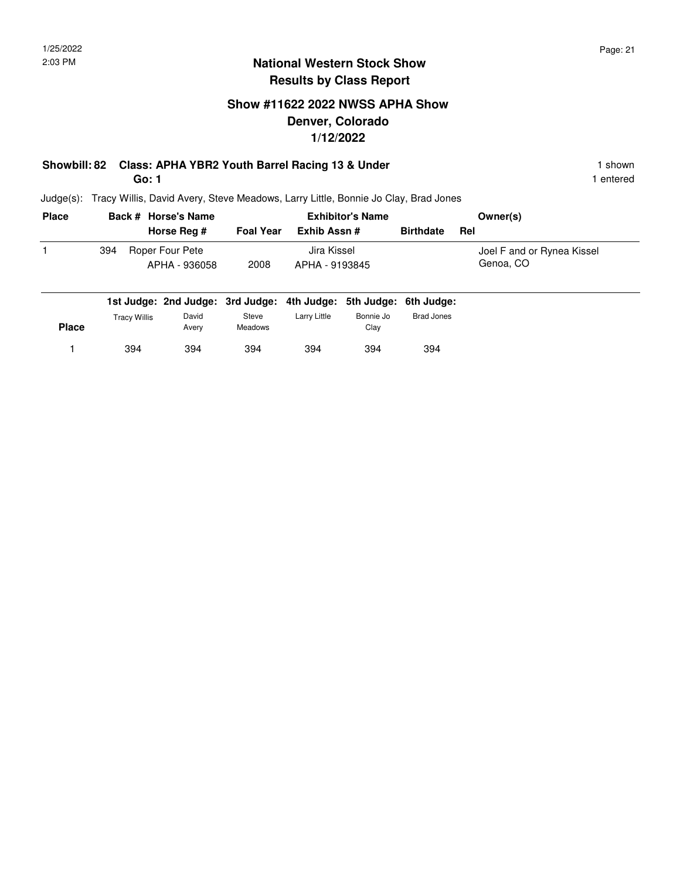### **Show #11622 2022 NWSS APHA Show Denver, Colorado 1/12/2022**

#### **Showbill: 82 Class: APHA YBR2 Youth Barrel Racing 13 & Under** 1 **Shown** 1 shown **Go: 1**

394 394

Judge(s): Tracy Willis, David Avery, Steve Meadows, Larry Little, Bonnie Jo Clay, Brad Jones

394

1 394 394 394 394 394 394

| <b>Place</b> | Back # Horse's Name |                                                                   |                         | <b>Exhibitor's Name</b> |                   |                   | Owner(s)                   |
|--------------|---------------------|-------------------------------------------------------------------|-------------------------|-------------------------|-------------------|-------------------|----------------------------|
|              |                     | Horse Rea #                                                       | <b>Foal Year</b>        | Exhib Assn#             |                   | <b>Birthdate</b>  | Rel                        |
|              | 394                 | Roper Four Pete                                                   |                         | Jira Kissel             |                   |                   | Joel F and or Rynea Kissel |
|              |                     | APHA - 936058                                                     | 2008                    | APHA - 9193845          |                   |                   | Genoa, CO                  |
|              |                     | 1st Judge: 2nd Judge: 3rd Judge: 4th Judge: 5th Judge: 6th Judge: |                         |                         |                   |                   |                            |
| <b>Place</b> | Tracy Willis        | David<br>Avery                                                    | Steve<br><b>Meadows</b> | Larry Little            | Bonnie Jo<br>Clay | <b>Brad Jones</b> |                            |

394

394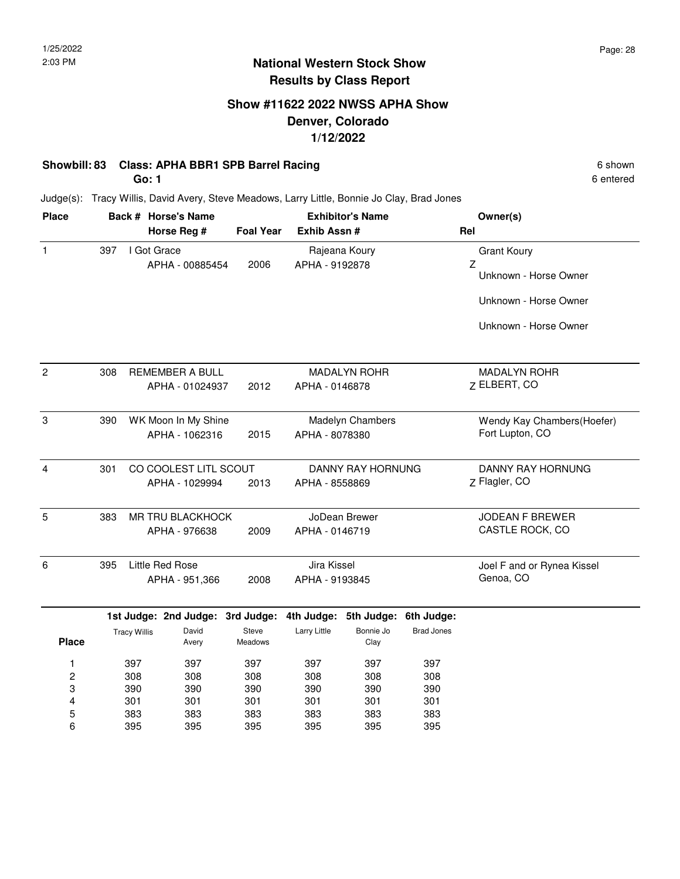## **Show #11622 2022 NWSS APHA Show Denver, Colorado 1/12/2022**

### **Showbill: 83 Class: APHA BBR1 SPB Barrel Racing 6 Shown 6 Shown 6 shown 6 shown**

**Go: 1**

6 entered

Judge(s): Tracy Willis, David Avery, Steve Meadows, Larry Little, Bonnie Jo Clay, Brad Jones

| <b>Place</b>   |     |                     | Back # Horse's Name                     |                  | <b>Exhibitor's Name</b> |                                            |                   | Owner(s)                           |  |
|----------------|-----|---------------------|-----------------------------------------|------------------|-------------------------|--------------------------------------------|-------------------|------------------------------------|--|
|                |     |                     | Horse Reg #                             | <b>Foal Year</b> | Exhib Assn #            |                                            |                   | Rel                                |  |
| $\mathbf{1}$   | 397 | I Got Grace         |                                         |                  |                         | Rajeana Koury                              |                   | <b>Grant Koury</b>                 |  |
|                |     |                     | APHA - 00885454                         | 2006             | APHA - 9192878          |                                            |                   | Z<br>Unknown - Horse Owner         |  |
|                |     |                     |                                         |                  |                         |                                            |                   | Unknown - Horse Owner              |  |
|                |     |                     |                                         |                  |                         |                                            |                   | Unknown - Horse Owner              |  |
| $\overline{c}$ | 308 |                     | REMEMBER A BULL                         |                  |                         | <b>MADALYN ROHR</b>                        |                   | <b>MADALYN ROHR</b>                |  |
|                |     |                     | APHA - 01024937                         | 2012             | APHA - 0146878          |                                            |                   | Z ELBERT, CO                       |  |
| 3              | 390 |                     | WK Moon In My Shine                     |                  |                         | Madelyn Chambers                           |                   | Wendy Kay Chambers(Hoefer)         |  |
|                |     |                     | APHA - 1062316                          | 2015             | APHA - 8078380          |                                            |                   | Fort Lupton, CO                    |  |
|                |     |                     |                                         |                  |                         |                                            |                   |                                    |  |
| 4              | 301 |                     | CO COOLEST LITL SCOUT<br>APHA - 1029994 | 2013             |                         | <b>DANNY RAY HORNUNG</b><br>APHA - 8558869 |                   | DANNY RAY HORNUNG<br>Z Flagler, CO |  |
| 5              | 383 |                     | MR TRU BLACKHOCK                        |                  |                         | JoDean Brewer                              |                   | JODEAN F BREWER                    |  |
|                |     |                     | APHA - 976638                           | 2009             | APHA - 0146719          |                                            |                   | CASTLE ROCK, CO                    |  |
| 6              | 395 |                     | Little Red Rose                         |                  | Jira Kissel             |                                            |                   | Joel F and or Rynea Kissel         |  |
|                |     |                     | APHA - 951,366                          | 2008             | APHA - 9193845          |                                            |                   | Genoa, CO                          |  |
|                |     |                     | 1st Judge: 2nd Judge:                   | 3rd Judge:       |                         | 4th Judge: 5th Judge:                      | 6th Judge:        |                                    |  |
| <b>Place</b>   |     | <b>Tracy Willis</b> | David<br>Avery                          | Steve<br>Meadows | Larry Little            | Bonnie Jo<br>Clay                          | <b>Brad Jones</b> |                                    |  |
| 1              |     | 397                 | 397                                     | 397              | 397                     | 397                                        | 397               |                                    |  |
| $\overline{c}$ |     | 308                 | 308                                     | 308              | 308                     | 308                                        | 308               |                                    |  |
| 3              |     | 390                 | 390                                     | 390              | 390                     | 390                                        | 390               |                                    |  |
| 4              |     | 301                 | 301                                     | 301              | 301                     | 301                                        | 301               |                                    |  |
| 5              |     | 383                 | 383                                     | 383              | 383                     | 383                                        | 383               |                                    |  |
| 6              |     | 395                 | 395                                     | 395              | 395                     | 395                                        | 395               |                                    |  |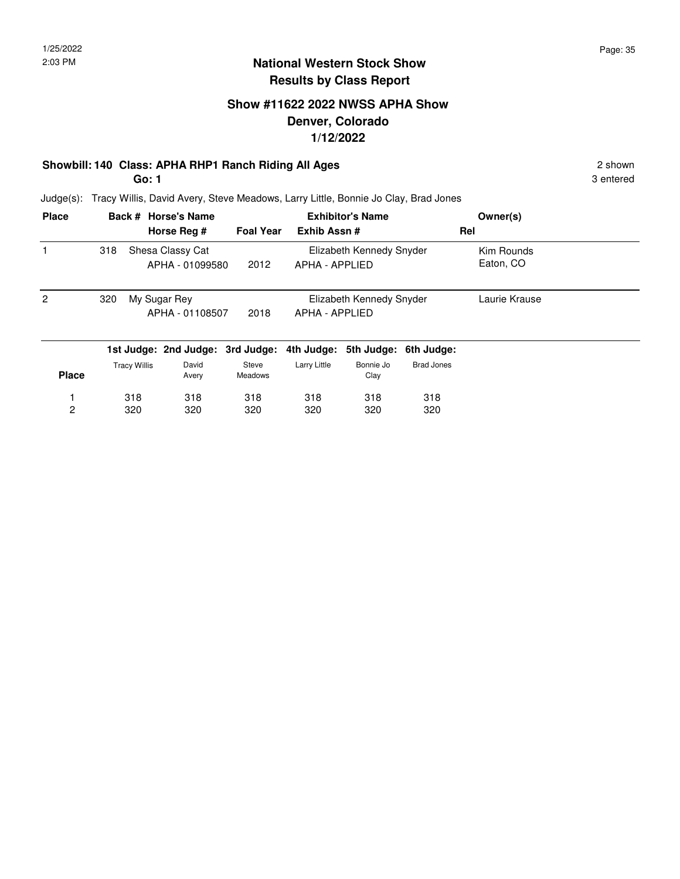## **Show #11622 2022 NWSS APHA Show Denver, Colorado 1/12/2022**

### **Showbill: 140 Class: APHA RHP1 Ranch Riding All Ages** 2 shown

**Go: 1**

3 entered

Judge(s): Tracy Willis, David Avery, Steve Meadows, Larry Little, Bonnie Jo Clay, Brad Jones

| <b>Place</b>   |     |                     | Back # Horse's Name                 |                  | <b>Exhibitor's Name</b> |                          |                       | Owner(s)                |  |
|----------------|-----|---------------------|-------------------------------------|------------------|-------------------------|--------------------------|-----------------------|-------------------------|--|
|                |     |                     | Horse Reg #                         | <b>Foal Year</b> | Exhib Assn#             |                          |                       | Rel                     |  |
|                | 318 |                     | Shesa Classy Cat<br>APHA - 01099580 | 2012             | APHA - APPLIED          | Elizabeth Kennedy Snyder |                       | Kim Rounds<br>Eaton, CO |  |
| $\overline{2}$ | 320 |                     | My Sugar Rey<br>APHA - 01108507     | 2018             | APHA - APPLIED          | Elizabeth Kennedy Snyder |                       | Laurie Krause           |  |
|                |     |                     | 1st Judge: 2nd Judge: 3rd Judge:    |                  | 4th Judge:              |                          | 5th Judge: 6th Judge: |                         |  |
| <b>Place</b>   |     | <b>Tracy Willis</b> | David<br>Avery                      | Steve<br>Meadows | Larry Little            | Bonnie Jo<br>Clay        | <b>Brad Jones</b>     |                         |  |
|                |     | 318                 | 318                                 | 318              | 318                     | 318                      | 318                   |                         |  |
| 2              |     | 320                 | 320                                 | 320              | 320                     | 320                      | 320                   |                         |  |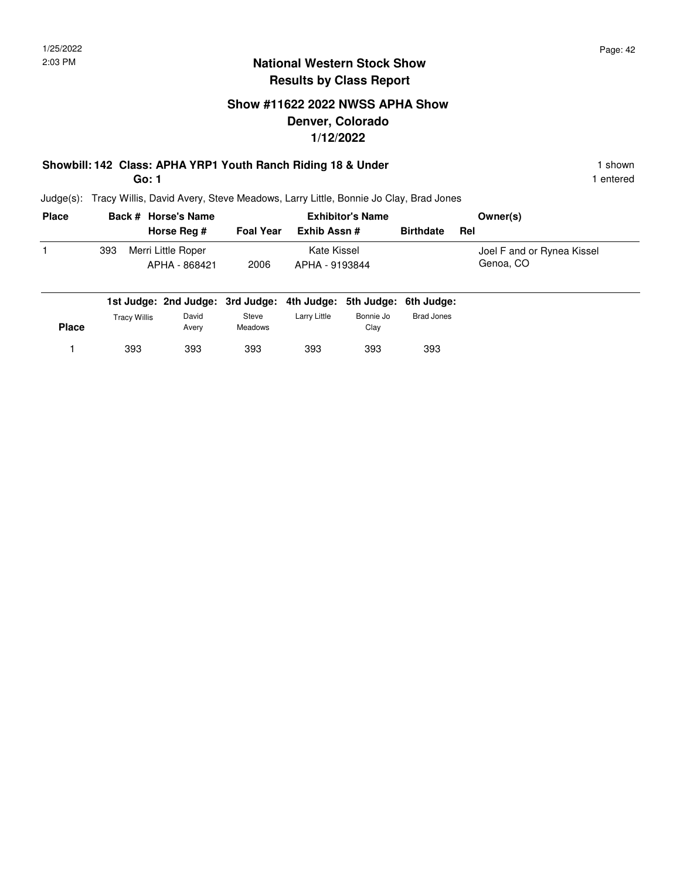### **Show #11622 2022 NWSS APHA Show Denver, Colorado 1/12/2022**

# **Showbill: 142 Class: APHA YRP1 Youth Ranch Riding 18 & Under** 1 **Shown** 1 shown

**Go: 1**

393 393

1 entered

Judge(s): Tracy Willis, David Avery, Steve Meadows, Larry Little, Bonnie Jo Clay, Brad Jones

393

1 393 393 393 393 393 393 393

| <b>Place</b> |              | Back # Horse's Name                                               |                         |                               | <b>Exhibitor's Name</b> | Owner(s)          |                                         |
|--------------|--------------|-------------------------------------------------------------------|-------------------------|-------------------------------|-------------------------|-------------------|-----------------------------------------|
|              |              | Horse Reg #                                                       | <b>Foal Year</b>        | Exhib Assn #                  |                         | <b>Birthdate</b>  | Rel                                     |
|              | 393          | Merri Little Roper<br>APHA - 868421                               | 2006                    | Kate Kissel<br>APHA - 9193844 |                         |                   | Joel F and or Rynea Kissel<br>Genoa, CO |
|              |              | 1st Judge: 2nd Judge: 3rd Judge: 4th Judge: 5th Judge: 6th Judge: |                         |                               |                         |                   |                                         |
| <b>Place</b> | Tracy Willis | David<br>Avery                                                    | Steve<br><b>Meadows</b> | Larry Little                  | Bonnie Jo<br>Clay       | <b>Brad Jones</b> |                                         |

393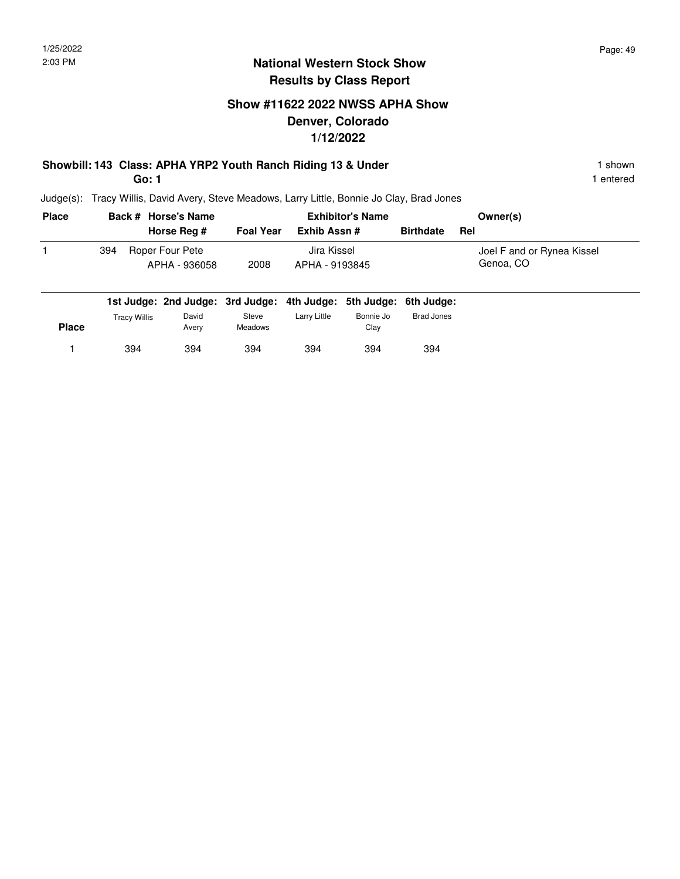### **Show #11622 2022 NWSS APHA Show Denver, Colorado 1/12/2022**

# **Showbill: 143 Class: APHA YRP2 Youth Ranch Riding 13 & Under** 1 **Shown** 1 shown

**Go: 1**

394 394

1 entered

Judge(s): Tracy Willis, David Avery, Steve Meadows, Larry Little, Bonnie Jo Clay, Brad Jones

394

1 394 394 394 394 394 394

| <b>Place</b> |                     | Back # Horse's Name                                               |                         |                | <b>Exhibitor's Name</b> | Owner(s)         |                            |
|--------------|---------------------|-------------------------------------------------------------------|-------------------------|----------------|-------------------------|------------------|----------------------------|
|              |                     | Horse Reg #                                                       | <b>Foal Year</b>        | Exhib Assn #   |                         | <b>Birthdate</b> | Rel                        |
|              | 394                 | Roper Four Pete                                                   |                         | Jira Kissel    |                         |                  | Joel F and or Rynea Kissel |
|              |                     | APHA - 936058                                                     | 2008                    | APHA - 9193845 |                         |                  | Genoa, CO                  |
|              |                     | 1st Judge: 2nd Judge: 3rd Judge: 4th Judge: 5th Judge: 6th Judge: |                         |                |                         |                  |                            |
| <b>Place</b> | <b>Tracy Willis</b> | David<br>Avery                                                    | Steve<br><b>Meadows</b> | Larry Little   | Bonnie Jo<br>Clay       | Brad Jones       |                            |

394